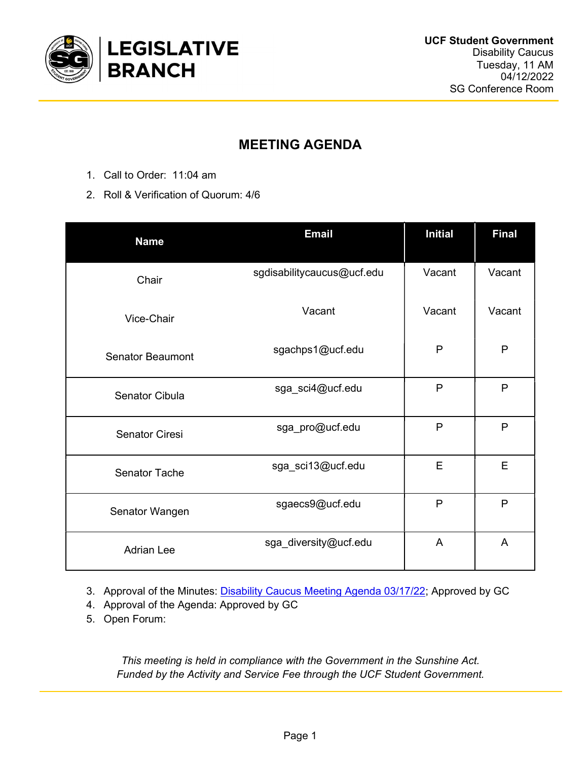

## MEETING AGENDA

- 1. Call to Order: 11:04 am
- 2. Roll & Verification of Quorum: 4/6

| <b>Name</b>             | <b>Email</b>               | <b>Initial</b> | <b>Final</b> |
|-------------------------|----------------------------|----------------|--------------|
| Chair                   | sgdisabilitycaucus@ucf.edu | Vacant         | Vacant       |
| Vice-Chair              | Vacant                     | Vacant         | Vacant       |
| <b>Senator Beaumont</b> | sgachps1@ucf.edu           | $\mathsf{P}$   | P            |
| Senator Cibula          | sga_sci4@ucf.edu           | $\mathsf{P}$   | $\mathsf{P}$ |
| <b>Senator Ciresi</b>   | sga_pro@ucf.edu            | $\mathsf{P}$   | $\mathsf{P}$ |
| <b>Senator Tache</b>    | sga_sci13@ucf.edu          | E              | E            |
| Senator Wangen          | sgaecs9@ucf.edu            | P              | P            |
| <b>Adrian Lee</b>       | sga_diversity@ucf.edu      | A              | A            |

3. Approval of the Minutes: Disability Caucus Meeting Agenda 03/17/22; Approved by GC

- 4. Approval of the Agenda: Approved by GC
- 5. Open Forum:

This meeting is held in compliance with the Government in the Sunshine Act. Funded by the Activity and Service Fee through the UCF Student Government.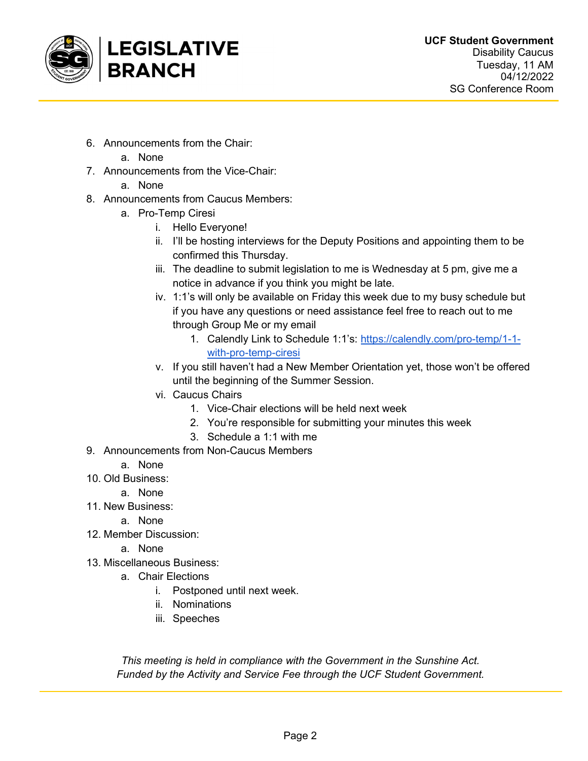

- 6. Announcements from the Chair:
- a. None 7. Announcements from the Vice-Chair:
	- a. None
		-
- 8. Announcements from Caucus Members:
	- a. Pro-Temp Ciresi
		- i. Hello Everyone!
		- ii. I'll be hosting interviews for the Deputy Positions and appointing them to be confirmed this Thursday.
		- iii. The deadline to submit legislation to me is Wednesday at 5 pm, give me a notice in advance if you think you might be late.
		- iv. 1:1's will only be available on Friday this week due to my busy schedule but if you have any questions or need assistance feel free to reach out to me through Group Me or my email
			- 1. Calendly Link to Schedule 1:1's: https://calendly.com/pro-temp/1-1 with-pro-temp-ciresi
		- v. If you still haven't had a New Member Orientation yet, those won't be offered until the beginning of the Summer Session.
		- vi. Caucus Chairs
			- 1. Vice-Chair elections will be held next week
			- 2. You're responsible for submitting your minutes this week
			- 3. Schedule a 1:1 with me
- 9. Announcements from Non-Caucus Members
	- a. None
- 10. Old Business:
	- a. None
- 11. New Business:

a. None

- 12. Member Discussion:
	- a. None
- 13. Miscellaneous Business:
	- a. Chair Elections
		- i. Postponed until next week.
		- ii. Nominations
		- iii. Speeches

This meeting is held in compliance with the Government in the Sunshine Act. Funded by the Activity and Service Fee through the UCF Student Government.